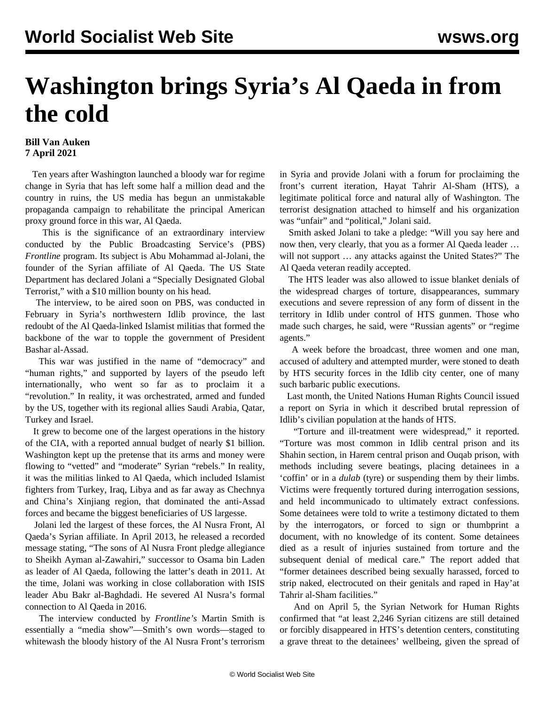## **Washington brings Syria's Al Qaeda in from the cold**

## **Bill Van Auken 7 April 2021**

 Ten years after Washington launched a bloody war for regime change in Syria that has left some half a million dead and the country in ruins, the US media has begun an unmistakable propaganda campaign to rehabilitate the principal American proxy ground force in this war, Al Qaeda.

 This is the significance of an extraordinary interview conducted by the Public Broadcasting Service's (PBS) *Frontline* program. Its subject is Abu Mohammad al-Jolani, the founder of the Syrian affiliate of Al Qaeda. The US State Department has declared Jolani a "Specially Designated Global Terrorist," with a \$10 million bounty on his head.

 The interview, to be aired soon on PBS, was conducted in February in Syria's northwestern Idlib province, the last redoubt of the Al Qaeda-linked Islamist militias that formed the backbone of the war to topple the government of President Bashar al-Assad.

 This war was justified in the name of "democracy" and "human rights," and supported by layers of the pseudo left internationally, who went so far as to proclaim it a "revolution." In reality, it was orchestrated, armed and funded by the US, together with its regional allies Saudi Arabia, Qatar, Turkey and Israel.

 It grew to become one of the largest operations in the history of the CIA, with a reported annual budget of nearly \$1 billion. Washington kept up the pretense that its arms and money were flowing to "vetted" and "moderate" Syrian "rebels." In reality, it was the militias linked to Al Qaeda, which included Islamist fighters from Turkey, Iraq, Libya and as far away as Chechnya and China's Xinjiang region, that dominated the anti-Assad forces and became the biggest beneficiaries of US largesse.

 Jolani led the largest of these forces, the Al Nusra Front, Al Qaeda's Syrian affiliate. In April 2013, he released a recorded message stating, "The sons of Al Nusra Front pledge allegiance to Sheikh Ayman al-Zawahiri," successor to Osama bin Laden as leader of Al Qaeda, following the latter's death in 2011. At the time, Jolani was working in close collaboration with ISIS leader Abu Bakr al-Baghdadi. He severed Al Nusra's formal connection to Al Qaeda in 2016.

 The interview conducted by *Frontline's* Martin Smith is essentially a "media show"—Smith's own words—staged to whitewash the bloody history of the Al Nusra Front's terrorism in Syria and provide Jolani with a forum for proclaiming the front's current iteration, Hayat Tahrir Al-Sham (HTS), a legitimate political force and natural ally of Washington. The terrorist designation attached to himself and his organization was "unfair" and "political," Jolani said.

 Smith asked Jolani to take a pledge: "Will you say here and now then, very clearly, that you as a former Al Qaeda leader … will not support … any attacks against the United States?" The Al Qaeda veteran readily accepted.

 The HTS leader was also allowed to issue blanket denials of the widespread charges of torture, disappearances, summary executions and severe repression of any form of dissent in the territory in Idlib under control of HTS gunmen. Those who made such charges, he said, were "Russian agents" or "regime agents."

 A week before the broadcast, three women and one man, accused of adultery and attempted murder, were stoned to death by HTS security forces in the Idlib city center, one of many such barbaric public executions.

 Last month, the United Nations Human Rights Council issued a report on Syria in which it described brutal repression of Idlib's civilian population at the hands of HTS.

 "Torture and ill-treatment were widespread," it reported. "Torture was most common in Idlib central prison and its Shahin section, in Harem central prison and Ouqab prison, with methods including severe beatings, placing detainees in a 'coffin' or in a *dulab* (tyre) or suspending them by their limbs. Victims were frequently tortured during interrogation sessions, and held incommunicado to ultimately extract confessions. Some detainees were told to write a testimony dictated to them by the interrogators, or forced to sign or thumbprint a document, with no knowledge of its content. Some detainees died as a result of injuries sustained from torture and the subsequent denial of medical care." The report added that "former detainees described being sexually harassed, forced to strip naked, electrocuted on their genitals and raped in Hay'at Tahrir al-Sham facilities."

 And on April 5, the Syrian Network for Human Rights confirmed that "at least 2,246 Syrian citizens are still detained or forcibly disappeared in HTS's detention centers, constituting a grave threat to the detainees' wellbeing, given the spread of